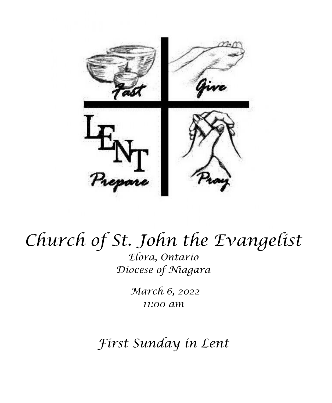

# *Church of St. John the Evangelist*

*Elora, Ontario Diocese of Niagara*

> *March 6, 2022 11:00 am*

*First Sunday in Lent*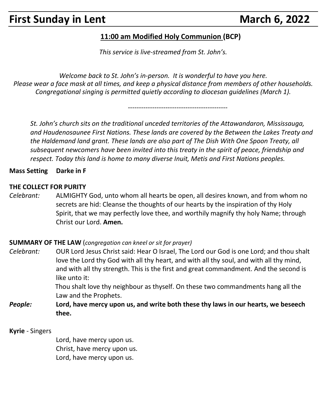# **First Sunday in Lent March 6, 2022**

#### **11:00 am Modified Holy Communion (BCP)**

*This service is live-streamed from St. John's.*

*Welcome back to St. John's in-person. It is wonderful to have you here. Please wear a face mask at all times, and keep a physical distance from members of other households. Congregational singing is permitted quietly according to diocesan guidelines (March 1).*

*---------------------------------------------*

*St. John's church sits on the traditional unceded territories of the Attawandaron, Mississauga, and Haudenosaunee First Nations. These lands are covered by the Between the Lakes Treaty and the Haldemand land grant. These lands are also part of The Dish With One Spoon Treaty, all subsequent newcomers have been invited into this treaty in the spirit of peace, friendship and respect. Today this land is home to many diverse Inuit, Metis and First Nations peoples.* 

#### **Mass Setting Darke in F**

#### **THE COLLECT FOR PURITY**

*Celebrant:* ALMIGHTY God, unto whom all hearts be open, all desires known, and from whom no secrets are hid: Cleanse the thoughts of our hearts by the inspiration of thy Holy Spirit, that we may perfectly love thee, and worthily magnify thy holy Name; through Christ our Lord. **Amen.**

#### **SUMMARY OF THE LAW** (*congregation can kneel or sit for prayer)*

*Celebrant:* OUR Lord Jesus Christ said: Hear O Israel, The Lord our God is one Lord; and thou shalt love the Lord thy God with all thy heart, and with all thy soul, and with all thy mind, and with all thy strength. This is the first and great commandment. And the second is like unto it:

> Thou shalt love thy neighbour as thyself. On these two commandments hang all the Law and the Prophets.

*People:* **Lord, have mercy upon us, and write both these thy laws in our hearts, we beseech thee.**

#### **Kyrie** - Singers

Lord, have mercy upon us. Christ, have mercy upon us. Lord, have mercy upon us.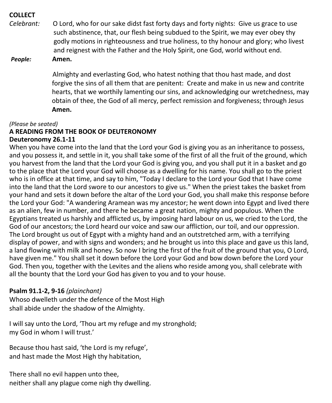#### **COLLECT**

*Celebrant:* O Lord, who for our sake didst fast forty days and forty nights: Give us grace to use such abstinence, that, our flesh being subdued to the Spirit, we may ever obey thy godly motions in righteousness and true holiness, to thy honour and glory; who livest and reignest with the Father and the Holy Spirit, one God, world without end.

*People:* **Amen.**

Almighty and everlasting God, who hatest nothing that thou hast made, and dost forgive the sins of all them that are penitent: Create and make in us new and contrite hearts, that we worthily lamenting our sins, and acknowledging our wretchedness, may obtain of thee, the God of all mercy, perfect remission and forgiveness; through Jesus **Amen.**

#### *(Please be seated)*

#### **A READING FROM THE BOOK OF DEUTERONOMY Deuteronomy 26.1-11**

When you have come into the land that the Lord your God is giving you as an inheritance to possess, and you possess it, and settle in it, you shall take some of the first of all the fruit of the ground, which you harvest from the land that the Lord your God is giving you, and you shall put it in a basket and go to the place that the Lord your God will choose as a dwelling for his name. You shall go to the priest who is in office at that time, and say to him, "Today I declare to the Lord your God that I have come into the land that the Lord swore to our ancestors to give us." When the priest takes the basket from your hand and sets it down before the altar of the Lord your God, you shall make this response before the Lord your God: "A wandering Aramean was my ancestor; he went down into Egypt and lived there as an alien, few in number, and there he became a great nation, mighty and populous. When the Egyptians treated us harshly and afflicted us, by imposing hard labour on us, we cried to the Lord, the God of our ancestors; the Lord heard our voice and saw our affliction, our toil, and our oppression. The Lord brought us out of Egypt with a mighty hand and an outstretched arm, with a terrifying display of power, and with signs and wonders; and he brought us into this place and gave us this land, a land flowing with milk and honey. So now I bring the first of the fruit of the ground that you, O Lord, have given me." You shall set it down before the Lord your God and bow down before the Lord your God. Then you, together with the Levites and the aliens who reside among you, shall celebrate with all the bounty that the Lord your God has given to you and to your house.

#### **Psalm 91.1-2, 9-16** *(plainchant)*

Whoso dwelleth under the defence of the Most High shall abide under the shadow of the Almighty.

I will say unto the Lord, 'Thou art my refuge and my stronghold; my God in whom I will trust.'

Because thou hast said, 'the Lord is my refuge', and hast made the Most High thy habitation,

There shall no evil happen unto thee, neither shall any plague come nigh thy dwelling.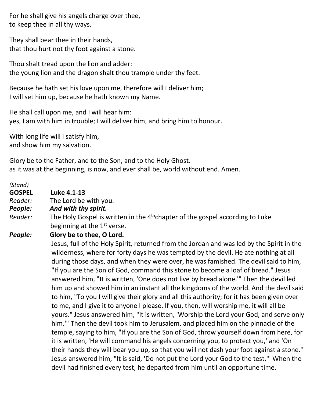For he shall give his angels charge over thee, to keep thee in all thy ways.

They shall bear thee in their hands, that thou hurt not thy foot against a stone.

Thou shalt tread upon the lion and adder: the young lion and the dragon shalt thou trample under thy feet.

Because he hath set his love upon me, therefore will I deliver him; I will set him up, because he hath known my Name.

He shall call upon me, and I will hear him: yes, I am with him in trouble; I will deliver him, and bring him to honour.

With long life will I satisfy him, and show him my salvation.

Glory be to the Father, and to the Son, and to the Holy Ghost. as it was at the beginning, is now, and ever shall be, world without end. Amen.

#### *(Stand)* **GOSPEL Luke 4.1-13** *Reader:*The Lord be with you. *People: And with thy spirit.* Reader: The Holy Gospel is written in the 4<sup>th</sup>chapter of the gospel according to Luke beginning at the 1<sup>st</sup> verse. *People:* **Glory be to thee, O Lord.** Jesus, full of the Holy Spirit, returned from the Jordan and was led by the Spirit in the wilderness, where for forty days he was tempted by the devil. He ate nothing at all during those days, and when they were over, he was famished. The devil said to him, "If you are the Son of God, command this stone to become a loaf of bread." Jesus answered him, "It is written, 'One does not live by bread alone.'" Then the devil led him up and showed him in an instant all the kingdoms of the world. And the devil said to him, "To you I will give their glory and all this authority; for it has been given over to me, and I give it to anyone I please. If you, then, will worship me, it will all be yours." Jesus answered him, "It is written, 'Worship the Lord your God, and serve only him.'" Then the devil took him to Jerusalem, and placed him on the pinnacle of the temple, saying to him, "If you are the Son of God, throw yourself down from here, for it is written, 'He will command his angels concerning you, to protect you,' and 'On their hands they will bear you up, so that you will not dash your foot against a stone.'" Jesus answered him, "It is said, 'Do not put the Lord your God to the test.'" When the devil had finished every test, he departed from him until an opportune time.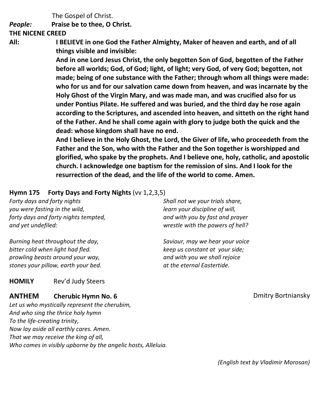The Gospel of Christ.

*People:* **Praise be to thee, O Christ.**

#### **THE NICENE CREED**

**All: I BELIEVE in one God the Father Almighty, Maker of heaven and earth, and of all things visible and invisible:**

> **And in one Lord Jesus Christ, the only begotten Son of God, begotten of the Father before all worlds; God, of God; light, of light; very God, of very God; begotten, not made; being of one substance with the Father; through whom all things were made: who for us and for our salvation came down from heaven, and was incarnate by the Holy Ghost of the Virgin Mary, and was made man, and was crucified also for us under Pontius Pilate. He suffered and was buried, and the third day he rose again according to the Scriptures, and ascended into heaven, and sitteth on the right hand of the Father. And he shall come again with glory to judge both the quick and the dead: whose kingdom shall have no end.**

> **And I believe in the Holy Ghost, the Lord, the Giver of life, who proceedeth from the Father and the Son, who with the Father and the Son together is worshipped and glorified, who spake by the prophets. And I believe one, holy, catholic, and apostolic church. I acknowledge one baptism for the remission of sins. And I look for the resurrection of the dead, and the life of the world to come. Amen.**

#### **Hymn 175 Forty Days and Forty Nights** (vv 1,2,3,5)

*Forty days and forty nights you were fasting in the wild, forty days and forty nights tempted, and yet undefiled:*

*Burning heat throughout the day, bitter cold when light had fled. prowling beasts around your way, stones your pillow, earth your bed.* *Shall not we your trials share, learn your discipline of will, and with you by fast and prayer wrestle with the powers of hell?*

*Saviour, may we hear your voice keep us constant at your side; and with you we shall rejoice at the eternal Eastertide.*

#### **HOMILY** Rev'd Judy Steers

#### **ANTHEM** Cherubic Hymn No. 6 **Book Constructs** Cherubic Hymn No. 6 **Book Constructs** Cherus Bortniansky

*Let us who mystically represent the cherubim, And who sing the thrice holy hymn To the life-creating trinity, Now lay aside all earthly cares. Amen. That we may receive the king of all, Who comes in visibly upborne by the angelic hosts, Alleluia.*

*(English text by Vladimir Morosan)*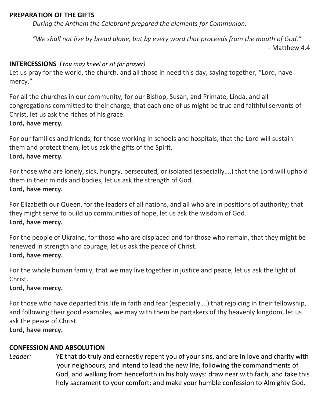#### **PREPARATION OF THE GIFTS**

*During the Anthem the Celebrant prepared the elements for Communion.*

*"We shall not live by bread alone, but by every word that proceeds from the mouth of God."*  $-L$  Matthew 4.4

#### **INTERCESSIONS** (*You may kneel or sit for prayer)*

Let us pray for the world, the church, and all those in need this day, saying together, "Lord, have mercy."

For all the churches in our community, for our Bishop, Susan, and Primate, Linda, and all congregations committed to their charge, that each one of us might be true and faithful servants of Christ, let us ask the riches of his grace.

#### **Lord, have mercy.**

For our families and friends, for those working in schools and hospitals, that the Lord will sustain them and protect them, let us ask the gifts of the Spirit. **Lord, have mercy.**

For those who are lonely, sick, hungry, persecuted, or isolated (especially….) that the Lord will uphold them in their minds and bodies, let us ask the strength of God. **Lord, have mercy.**

For Elizabeth our Queen, for the leaders of all nations, and all who are in positions of authority; that they might serve to build up communities of hope, let us ask the wisdom of God. **Lord, have mercy.**

For the people of Ukraine, for those who are displaced and for those who remain, that they might be renewed in strength and courage, let us ask the peace of Christ. **Lord, have mercy.**

For the whole human family, that we may live together in justice and peace, let us ask the light of Christ.

#### **Lord, have mercy.**

For those who have departed this life in faith and fear (especially….) that rejoicing in their fellowship, and following their good examples, we may with them be partakers of thy heavenly kingdom, let us ask the peace of Christ.

#### **Lord, have mercy.**

#### **CONFESSION AND ABSOLUTION**

*Leader:* YE that do truly and earnestly repent you of your sins, and are in love and charity with your neighbours, and intend to lead the new life, following the commandments of God, and walking from henceforth in his holy ways: draw near with faith, and take this holy sacrament to your comfort; and make your humble confession to Almighty God.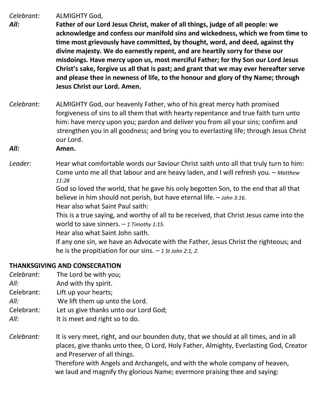*Celebrant:* ALMIGHTY God,

*All:* **Father of our Lord Jesus Christ, maker of all things, judge of all people: we acknowledge and confess our manifold sins and wickedness, which we from time to time most grievously have committed, by thought, word, and deed, against thy divine majesty. We do earnestly repent, and are heartily sorry for these our misdoings. Have mercy upon us, most merciful Father; for thy Son our Lord Jesus Christ's sake, forgive us all that is past; and grant that we may ever hereafter serve and please thee in newness of life, to the honour and glory of thy Name; through Jesus Christ our Lord. Amen.**

- *Celebrant:* ALMIGHTY God, our heavenly Father, who of his great mercy hath promised forgiveness of sins to all them that with hearty repentance and true faith turn unto him: have mercy upon you; pardon and deliver you from all your sins; confirm and strengthen you in all goodness; and bring you to everlasting life; through Jesus Christ our Lord.
- *All:* **Amen.**
- *Leader:* Hear what comfortable words our Saviour Christ saith unto all that truly turn to him: Come unto me all that labour and are heavy laden, and I will refresh you. – *Matthew 11:28*

God so loved the world, that he gave his only begotten Son, to the end that all that believe in him should not perish, but have eternal life. – *John 3:16.* Hear also what Saint Paul saith:

This is a true saying, and worthy of all to be received, that Christ Jesus came into the world to save sinners. – *1 Timothy 1:15.*

Hear also what Saint John saith.

If any one sin, we have an Advocate with the Father, Jesus Christ the righteous; and he is the propitiation for our sins. – *1 St John 2:1, 2*.

#### **THANKSGIVING AND CONSECRATION**

- *Celebrant:* The Lord be with you;
- *All:* And with thy spirit.
- Celebrant: Lift up your hearts;
- *All:* We lift them up unto the Lord.
- Celebrant*:* Let us give thanks unto our Lord God;
- *All:* It is meet and right so to do.

*Celebrant:* It is very meet, right, and our bounden duty, that we should at all times, and in all places, give thanks unto thee, O Lord, Holy Father, Almighty, Everlasting God, Creator and Preserver of all things. Therefore with Angels and Archangels, and with the whole company of heaven,

we laud and magnify thy glorious Name; evermore praising thee and saying: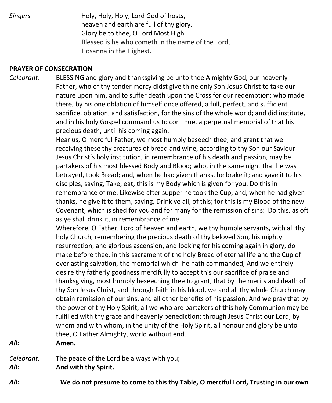*Singers* **Holy, Holy, Holy, Lord God of hosts,**  heaven and earth are full of thy glory. Glory be to thee, O Lord Most High. Blessed is he who cometh in the name of the Lord, Hosanna in the Highest.

#### **PRAYER OF CONSECRATION**

*Celebrant*: BLESSING and glory and thanksgiving be unto thee Almighty God, our heavenly Father, who of thy tender mercy didst give thine only Son Jesus Christ to take our nature upon him, and to suffer death upon the Cross for our redemption; who made there, by his one oblation of himself once offered, a full, perfect, and sufficient sacrifice, oblation, and satisfaction, for the sins of the whole world; and did institute, and in his holy Gospel command us to continue, a perpetual memorial of that his precious death, until his coming again.

> Hear us, O merciful Father, we most humbly beseech thee; and grant that we receiving these thy creatures of bread and wine, according to thy Son our Saviour Jesus Christ's holy institution, in remembrance of his death and passion, may be partakers of his most blessed Body and Blood; who, in the same night that he was betrayed, took Bread; and, when he had given thanks, he brake it; and gave it to his disciples, saying, Take, eat; this is my Body which is given for you: Do this in remembrance of me. Likewise after supper he took the Cup; and, when he had given thanks, he give it to them, saying, Drink ye all, of this; for this is my Blood of the new Covenant, which is shed for you and for many for the remission of sins: Do this, as oft as ye shall drink it, in remembrance of me.

> Wherefore, O Father, Lord of heaven and earth, we thy humble servants, with all thy holy Church, remembering the precious death of thy beloved Son, his mighty resurrection, and glorious ascension, and looking for his coming again in glory, do make before thee, in this sacrament of the holy Bread of eternal life and the Cup of everlasting salvation, the memorial which he hath commanded; And we entirely desire thy fatherly goodness mercifully to accept this our sacrifice of praise and thanksgiving, most humbly beseeching thee to grant, that by the merits and death of thy Son Jesus Christ, and through faith in his blood, we and all thy whole Church may obtain remission of our sins, and all other benefits of his passion; And we pray that by the power of thy Holy Spirit, all we who are partakers of this holy Communion may be fulfilled with thy grace and heavenly benediction; through Jesus Christ our Lord, by whom and with whom, in the unity of the Holy Spirit, all honour and glory be unto thee, O Father Almighty, world without end.

*All:* **Amen.**

*Celebrant:* The peace of the Lord be always with you;

*All:* **And with thy Spirit.** 

*All:* **We do not presume to come to this thy Table, O merciful Lord, Trusting in our own**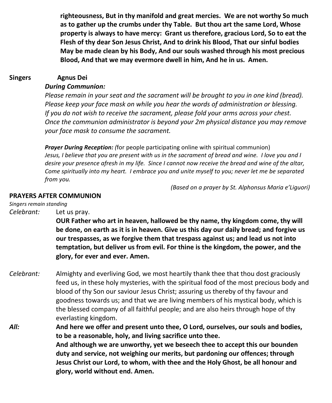**righteousness, But in thy manifold and great mercies. We are not worthy So much as to gather up the crumbs under thy Table. But thou art the same Lord, Whose property is always to have mercy: Grant us therefore, gracious Lord, So to eat the Flesh of thy dear Son Jesus Christ, And to drink his Blood, That our sinful bodies May be made clean by his Body, And our souls washed through his most precious Blood, And that we may evermore dwell in him, And he in us. Amen.**

#### **Singers Agnus Dei**

#### *During Communion:*

*Please remain in your seat and the sacrament will be brought to you in one kind (bread). Please keep your face mask on while you hear the words of administration or blessing. If you do not wish to receive the sacrament, please fold your arms across your chest. Once the communion administrator is beyond your 2m physical distance you may remove your face mask to consume the sacrament.*

*Prayer During Reception: (*for people participating online with spiritual communion) Jesus, I believe that you are present with us in the sacrament of bread and wine. I love you and I desire your presence afresh in my life. Since I cannot now receive the bread and wine of the altar, *Come spiritually into my heart. I embrace you and unite myself to you; never let me be separated from you.*

*(Based on a prayer by St. Alphonsus Maria e'Liguori)*

#### **PRAYERS AFTER COMMUNION**

*Singers remain standing*

*Celebrant:* Let us pray.

**OUR Father who art in heaven, hallowed be thy name, thy kingdom come, thy will be done, on earth as it is in heaven. Give us this day our daily bread; and forgive us our trespasses, as we forgive them that trespass against us; and lead us not into temptation, but deliver us from evil. For thine is the kingdom, the power, and the glory, for ever and ever. Amen.**

*Celebrant:* Almighty and everliving God, we most heartily thank thee that thou dost graciously feed us, in these holy mysteries, with the spiritual food of the most precious body and blood of thy Son our saviour Jesus Christ; assuring us thereby of thy favour and goodness towards us; and that we are living members of his mystical body, which is the blessed company of all faithful people; and are also heirs through hope of thy everlasting kingdom.

*All:* **And here we offer and present unto thee, O Lord, ourselves, our souls and bodies, to be a reasonable, holy, and living sacrifice unto thee. And although we are unworthy, yet we beseech thee to accept this our bounden duty and service, not weighing our merits, but pardoning our offences; through Jesus Christ our Lord, to whom, with thee and the Holy Ghost, be all honour and glory, world without end. Amen.**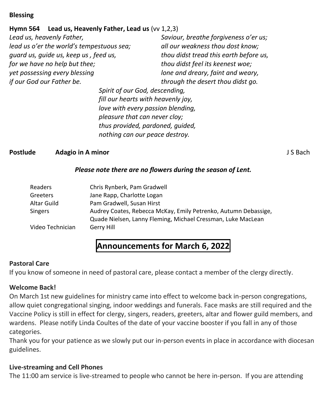#### **Blessing**

#### **Hymn 564 Lead us, Heavenly Father, Lead us** (vv 1,2,3)

*Lead us, heavenly Father, lead us o'er the world's tempestuous sea; guard us, guide us, keep us , feed us, for we have no help but thee; yet possessing every blessing if our God our Father be.*

*Saviour, breathe forgiveness o'er us; all our weakness thou dost know; thou didst tread this earth before us, thou didst feel its keenest woe; lone and dreary, faint and weary, through the desert thou didst go.*

*Spirit of our God, descending, fill our hearts with heavenly joy, love with every passion blending, pleasure that can never cloy; thus provided, pardoned, guided, nothing can our peace destroy.*

#### **Postlude Adagio in A minor** Adagio **A minor** Adagio **A minor** Adagio **A minor** Adagio **A minor** Adagio **A minor** Adagio **A minor** Adagio **A minor** Adagio **A minor** Adagio **A minor** Adagio **A minor** Adagio **A minor** Adagio

#### *Please note there are no flowers during the season of Lent.*

| Readers          | Chris Rynberk, Pam Gradwell                                     |
|------------------|-----------------------------------------------------------------|
| Greeters         | Jane Rapp, Charlotte Logan                                      |
| Altar Guild      | Pam Gradwell, Susan Hirst                                       |
| <b>Singers</b>   | Audrey Coates, Rebecca McKay, Emily Petrenko, Autumn Debassige, |
|                  | Quade Nielsen, Lanny Fleming, Michael Cressman, Luke MacLean    |
| Video Technician | Gerry Hill                                                      |

# **Announcements for March 6, 2022**

#### **Pastoral Care**

If you know of someone in need of pastoral care, please contact a member of the clergy directly.

#### **Welcome Back!**

On March 1st new guidelines for ministry came into effect to welcome back in-person congregations, allow quiet congregational singing, indoor weddings and funerals. Face masks are still required and the Vaccine Policy is still in effect for clergy, singers, readers, greeters, altar and flower guild members, and wardens. Please notify Linda Coultes of the date of your vaccine booster if you fall in any of those categories.

Thank you for your patience as we slowly put our in-person events in place in accordance with diocesan guidelines.

#### **Live-streaming and Cell Phones**

The 11:00 am service is live-streamed to people who cannot be here in-person. If you are attending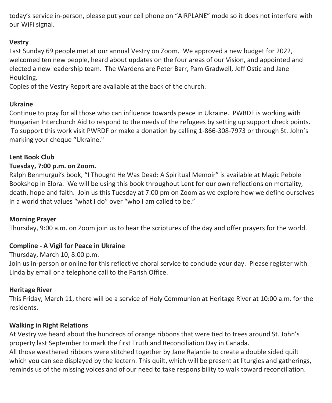today's service in-person, please put your cell phone on "AIRPLANE" mode so it does not interfere with our WiFi signal.

#### **Vestry**

Last Sunday 69 people met at our annual Vestry on Zoom. We approved a new budget for 2022, welcomed ten new people, heard about updates on the four areas of our Vision, and appointed and elected a new leadership team. The Wardens are Peter Barr, Pam Gradwell, Jeff Ostic and Jane Houlding.

Copies of the Vestry Report are available at the back of the church.

### **Ukraine**

Continue to pray for all those who can influence towards peace in Ukraine. PWRDF is working with Hungarian Interchurch Aid to respond to the needs of the refugees by setting up support check points. To support this work visit PWRDF or make a donation by calling 1-866-308-7973 or through St. John's marking your cheque "Ukraine."

### **Lent Book Club**

#### **Tuesday, 7:00 p.m. on Zoom.**

Ralph Benmurgui's book, "I Thought He Was Dead: A Spiritual Memoir" is available at Magic Pebble Bookshop in Elora. We will be using this book throughout Lent for our own reflections on mortality, death, hope and faith. Join us this Tuesday at 7:00 pm on Zoom as we explore how we define ourselves in a world that values "what I do" over "who I am called to be."

#### **Morning Prayer**

Thursday, 9:00 a.m. on Zoom join us to hear the scriptures of the day and offer prayers for the world.

#### **Compline - A Vigil for Peace in Ukraine**

Thursday, March 10, 8:00 p.m.

Join us in-person or online for this reflective choral service to conclude your day. Please register with Linda by email or a telephone call to the Parish Office.

#### **Heritage River**

This Friday, March 11, there will be a service of Holy Communion at Heritage River at 10:00 a.m. for the residents.

#### **Walking in Right Relations**

At Vestry we heard about the hundreds of orange ribbons that were tied to trees around St. John's property last September to mark the first Truth and Reconciliation Day in Canada. All those weathered ribbons were stitched together by Jane Rajantie to create a double sided quilt which you can see displayed by the lectern. This quilt, which will be present at liturgies and gatherings, reminds us of the missing voices and of our need to take responsibility to walk toward reconciliation.